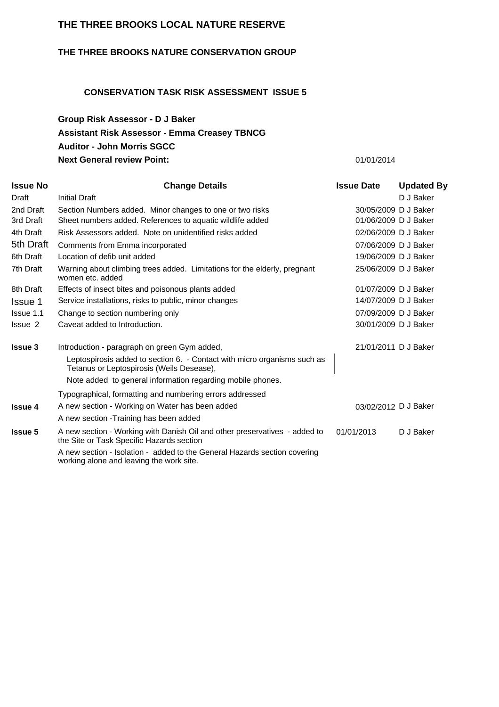### **THE THREE BROOKS LOCAL NATURE RESERVE**

### **THE THREE BROOKS NATURE CONSERVATION GROUP**

### **CONSERVATION TASK RISK ASSESSMENT ISSUE 5**

### **Group Risk Assessor - D J Baker Auditor - John Morris SGCC Next General review Point:** 01/01/2014 **Assistant Risk Assessor - Emma Creasey TBNCG**

| <b>Issue No</b> | <b>Change Details</b>                                                                                                                                                               | <b>Issue Date</b>    | <b>Updated By</b> |
|-----------------|-------------------------------------------------------------------------------------------------------------------------------------------------------------------------------------|----------------------|-------------------|
| Draft           | Initial Draft                                                                                                                                                                       |                      | D J Baker         |
| 2nd Draft       | Section Numbers added. Minor changes to one or two risks                                                                                                                            | 30/05/2009 D J Baker |                   |
| 3rd Draft       | Sheet numbers added. References to aquatic wildlife added                                                                                                                           | 01/06/2009 D J Baker |                   |
| 4th Draft       | Risk Assessors added. Note on unidentified risks added                                                                                                                              | 02/06/2009 D J Baker |                   |
| 5th Draft       | Comments from Emma incorporated                                                                                                                                                     | 07/06/2009 D J Baker |                   |
| 6th Draft       | Location of defib unit added                                                                                                                                                        | 19/06/2009 D J Baker |                   |
| 7th Draft       | Warning about climbing trees added. Limitations for the elderly, pregnant<br>women etc. added                                                                                       | 25/06/2009 D J Baker |                   |
| 8th Draft       | Effects of insect bites and poisonous plants added                                                                                                                                  | 01/07/2009 D J Baker |                   |
| Issue 1         | Service installations, risks to public, minor changes                                                                                                                               | 14/07/2009 D J Baker |                   |
| Is sue 1.1      | Change to section numbering only                                                                                                                                                    | 07/09/2009 D J Baker |                   |
| Issue 2         | Caveat added to Introduction.                                                                                                                                                       | 30/01/2009 D J Baker |                   |
| <b>Issue 3</b>  | Introduction - paragraph on green Gym added,                                                                                                                                        | 21/01/2011 D J Baker |                   |
|                 | Leptospirosis added to section 6. - Contact with micro organisms such as<br>Tetanus or Leptospirosis (Weils Desease),<br>Note added to general information regarding mobile phones. |                      |                   |
|                 | Typographical, formatting and numbering errors addressed                                                                                                                            |                      |                   |
| <b>Issue 4</b>  | A new section - Working on Water has been added                                                                                                                                     | 03/02/2012 D J Baker |                   |
|                 | A new section - Training has been added                                                                                                                                             |                      |                   |
| <b>Issue 5</b>  | A new section - Working with Danish Oil and other preservatives - added to<br>the Site or Task Specific Hazards section                                                             | 01/01/2013           | D J Baker         |
|                 | A new section - Isolation - added to the General Hazards section covering<br>working alone and leaving the work site.                                                               |                      |                   |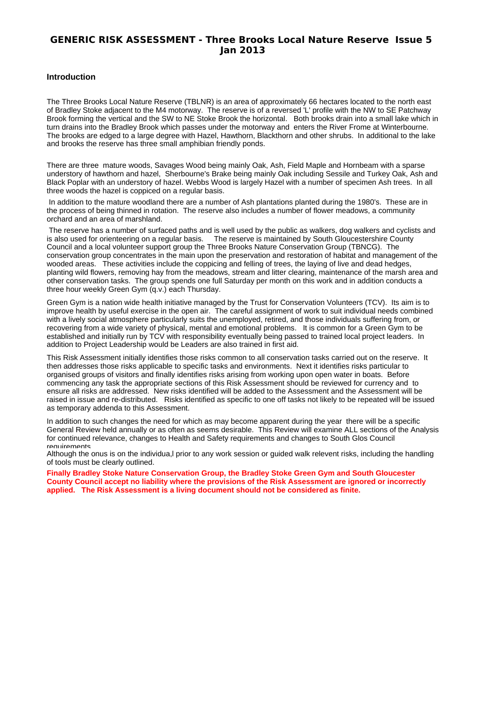### **GENERIC RISK ASSESSMENT - Three Brooks Local Nature Reserve Issue 5 Jan 2013**

#### **Introduction**

The Three Brooks Local Nature Reserve (TBLNR) is an area of approximately 66 hectares located to the north east of Bradley Stoke adjacent to the M4 motorway. The reserve is of a reversed 'L' profile with the NW to SE Patchway Brook forming the vertical and the SW to NE Stoke Brook the horizontal. Both brooks drain into a small lake which in turn drains into the Bradley Brook which passes under the motorway and enters the River Frome at Winterbourne. The brooks are edged to a large degree with Hazel, Hawthorn, Blackthorn and other shrubs. In additional to the lake and brooks the reserve has three small amphibian friendly ponds.

There are three mature woods, Savages Wood being mainly Oak, Ash, Field Maple and Hornbeam with a sparse understory of hawthorn and hazel, Sherbourne's Brake being mainly Oak including Sessile and Turkey Oak, Ash and Black Poplar with an understory of hazel. Webbs Wood is largely Hazel with a number of specimen Ash trees. In all three woods the hazel is coppiced on a regular basis.

In addition to the mature woodland there are a number of Ash plantations planted during the 1980's. These are in the process of being thinned in rotation. The reserve also includes a number of flower meadows, a community orchard and an area of marshland.

The reserve has a number of surfaced paths and is well used by the public as walkers, dog walkers and cyclists and<br>is also used for orienteering on a regular basis. The reserve is maintained by South Gloucestershire County The reserve is maintained by South Gloucestershire County Council and a local volunteer support group the Three Brooks Nature Conservation Group (TBNCG). The conservation group concentrates in the main upon the preservation and restoration of habitat and management of the wooded areas. These activities include the coppicing and felling of trees, the laying of live and dead hedges, planting wild flowers, removing hay from the meadows, stream and litter clearing, maintenance of the marsh area and other conservation tasks. The group spends one full Saturday per month on this work and in addition conducts a three hour weekly Green Gym (q.v.) each Thursday.

Green Gym is a nation wide health initiative managed by the Trust for Conservation Volunteers (TCV). Its aim is to improve health by useful exercise in the open air. The careful assignment of work to suit individual needs combined with a lively social atmosphere particularly suits the unemployed, retired, and those individuals suffering from, or recovering from a wide variety of physical, mental and emotional problems. It is common for a Green Gym to be established and initially run by TCV with responsibility eventually being passed to trained local project leaders. In addition to Project Leadership would be Leaders are also trained in first aid.

This Risk Assessment initially identifies those risks common to all conservation tasks carried out on the reserve. It then addresses those risks applicable to specific tasks and environments. Next it identifies risks particular to organised groups of visitors and finally identifies risks arising from working upon open water in boats. Before commencing any task the appropriate sections of this Risk Assessment should be reviewed for currency and to ensure all risks are addressed. New risks identified will be added to the Assessment and the Assessment will be raised in issue and re-distributed. Risks identified as specific to one off tasks not likely to be repeated will be issued as temporary addenda to this Assessment.

In addition to such changes the need for which as may become apparent during the year there will be a specific General Review held annually or as often as seems desirable. This Review will examine ALL sections of the Analysis for continued relevance, changes to Health and Safety requirements and changes to South Glos Council requirements.

Although the onus is on the individua,l prior to any work session or guided walk relevent risks, including the handling of tools must be clearly outlined.

**Finally Bradley Stoke Nature Conservation Group, the Bradley Stoke Green Gym and South Gloucester County Council accept no liability where the provisions of the Risk Assessment are ignored or incorrectly applied. The Risk Assessment is a living document should not be considered as finite.**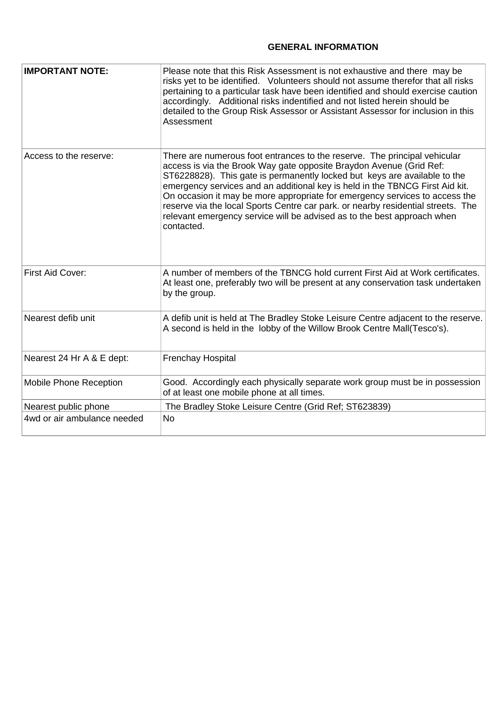### **GENERAL INFORMATION**

| <b>IMPORTANT NOTE:</b>      | Please note that this Risk Assessment is not exhaustive and there may be<br>risks yet to be identified. Volunteers should not assume therefor that all risks<br>pertaining to a particular task have been identified and should exercise caution<br>accordingly. Additional risks indentified and not listed herein should be<br>detailed to the Group Risk Assessor or Assistant Assessor for inclusion in this<br>Assessment                                                                                                                                            |
|-----------------------------|---------------------------------------------------------------------------------------------------------------------------------------------------------------------------------------------------------------------------------------------------------------------------------------------------------------------------------------------------------------------------------------------------------------------------------------------------------------------------------------------------------------------------------------------------------------------------|
| Access to the reserve:      | There are numerous foot entrances to the reserve. The principal vehicular<br>access is via the Brook Way gate opposite Braydon Avenue (Grid Ref:<br>ST6228828). This gate is permanently locked but keys are available to the<br>emergency services and an additional key is held in the TBNCG First Aid kit.<br>On occasion it may be more appropriate for emergency services to access the<br>reserve via the local Sports Centre car park. or nearby residential streets. The<br>relevant emergency service will be advised as to the best approach when<br>contacted. |
| First Aid Cover:            | A number of members of the TBNCG hold current First Aid at Work certificates.<br>At least one, preferably two will be present at any conservation task undertaken<br>by the group.                                                                                                                                                                                                                                                                                                                                                                                        |
| Nearest defib unit          | A defib unit is held at The Bradley Stoke Leisure Centre adjacent to the reserve.<br>A second is held in the lobby of the Willow Brook Centre Mall(Tesco's).                                                                                                                                                                                                                                                                                                                                                                                                              |
| Nearest 24 Hr A & E dept:   | Frenchay Hospital                                                                                                                                                                                                                                                                                                                                                                                                                                                                                                                                                         |
| Mobile Phone Reception      | Good. Accordingly each physically separate work group must be in possession<br>of at least one mobile phone at all times.                                                                                                                                                                                                                                                                                                                                                                                                                                                 |
| Nearest public phone        | The Bradley Stoke Leisure Centre (Grid Ref; ST623839)                                                                                                                                                                                                                                                                                                                                                                                                                                                                                                                     |
| 4wd or air ambulance needed | <b>No</b>                                                                                                                                                                                                                                                                                                                                                                                                                                                                                                                                                                 |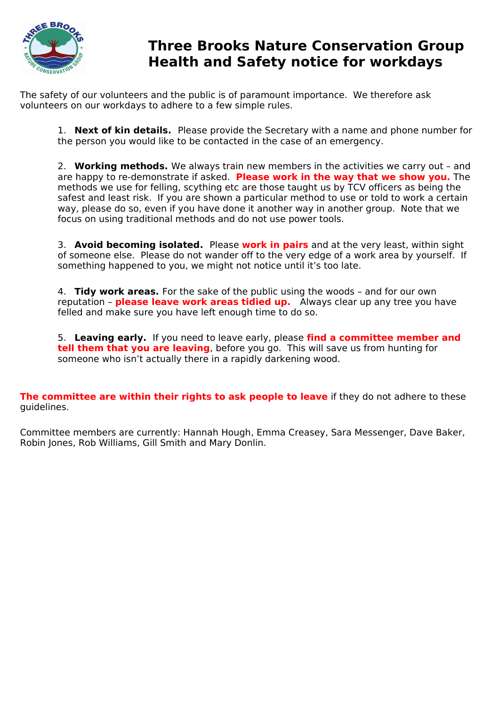

# **Three Brooks Nature Conservation Group Health and Safety notice for workdays**

The safety of our volunteers and the public is of paramount importance. We therefore ask volunteers on our workdays to adhere to a few simple rules.

1. **Next of kin details.** Please provide the Secretary with a name and phone number for the person you would like to be contacted in the case of an emergency.

2. **Working methods.** We always train new members in the activities we carry out – and are happy to re-demonstrate if asked. **Please work in the way that we show you.** The methods we use for felling, scything etc are those taught us by TCV officers as being the safest and least risk. If you are shown a particular method to use or told to work a certain way, please do so, even if you have done it another way in another group. Note that we focus on using traditional methods and do not use power tools.

3. **Avoid becoming isolated.** Please **work in pairs** and at the very least, within sight of someone else. Please do not wander off to the very edge of a work area by yourself. If something happened to you, we might not notice until it's too late.

4. **Tidy work areas.** For the sake of the public using the woods – and for our own reputation – **please leave work areas tidied up.** Always clear up any tree you have felled and make sure you have left enough time to do so.

5. **Leaving early.**  If you need to leave early, please **find a committee member and tell them that you are leaving**, before you go. This will save us from hunting for someone who isn't actually there in a rapidly darkening wood.

**The committee are within their rights to ask people to leave** if they do not adhere to these guidelines.

Committee members are currently: Hannah Hough, Emma Creasey, Sara Messenger, Dave Baker, Robin Jones, Rob Williams, Gill Smith and Mary Donlin.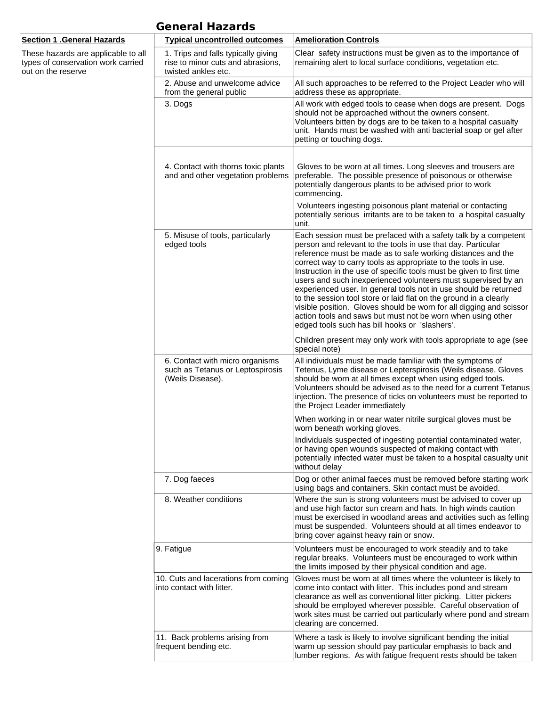| <b>General Hazards</b> |
|------------------------|
|------------------------|

| <u>Section 1 .General Hazards</u>                                                               | <b>Typical uncontrolled outcomes</b>                                                            | <b>Amelioration Controls</b>                                                                                                                                                                                                                                                                                                                                                                                                                                                                                                                                                                                                                                                                                                               |
|-------------------------------------------------------------------------------------------------|-------------------------------------------------------------------------------------------------|--------------------------------------------------------------------------------------------------------------------------------------------------------------------------------------------------------------------------------------------------------------------------------------------------------------------------------------------------------------------------------------------------------------------------------------------------------------------------------------------------------------------------------------------------------------------------------------------------------------------------------------------------------------------------------------------------------------------------------------------|
| These hazards are applicable to all<br>types of conservation work carried<br>out on the reserve | 1. Trips and falls typically giving<br>rise to minor cuts and abrasions,<br>twisted ankles etc. | Clear safety instructions must be given as to the importance of<br>remaining alert to local surface conditions, vegetation etc.                                                                                                                                                                                                                                                                                                                                                                                                                                                                                                                                                                                                            |
|                                                                                                 | 2. Abuse and unwelcome advice<br>from the general public                                        | All such approaches to be referred to the Project Leader who will<br>address these as appropriate.                                                                                                                                                                                                                                                                                                                                                                                                                                                                                                                                                                                                                                         |
|                                                                                                 | 3. Dogs                                                                                         | All work with edged tools to cease when dogs are present. Dogs<br>should not be approached without the owners consent.<br>Volunteers bitten by dogs are to be taken to a hospital casualty<br>unit. Hands must be washed with anti bacterial soap or gel after<br>petting or touching dogs.                                                                                                                                                                                                                                                                                                                                                                                                                                                |
|                                                                                                 | 4. Contact with thorns toxic plants<br>and and other vegetation problems                        | Gloves to be worn at all times. Long sleeves and trousers are<br>preferable. The possible presence of poisonous or otherwise<br>potentially dangerous plants to be advised prior to work                                                                                                                                                                                                                                                                                                                                                                                                                                                                                                                                                   |
|                                                                                                 |                                                                                                 | commencing.<br>Volunteers ingesting poisonous plant material or contacting<br>potentially serious irritants are to be taken to a hospital casualty<br>unit.                                                                                                                                                                                                                                                                                                                                                                                                                                                                                                                                                                                |
|                                                                                                 | 5. Misuse of tools, particularly<br>edged tools                                                 | Each session must be prefaced with a safety talk by a competent<br>person and relevant to the tools in use that day. Particular<br>reference must be made as to safe working distances and the<br>correct way to carry tools as appropriate to the tools in use.<br>Instruction in the use of specific tools must be given to first time<br>users and such inexperienced volunteers must supervised by an<br>experienced user. In general tools not in use should be returned<br>to the session tool store or laid flat on the ground in a clearly<br>visible position. Gloves should be worn for all digging and scissor<br>action tools and saws but must not be worn when using other<br>edged tools such has bill hooks or 'slashers'. |
|                                                                                                 |                                                                                                 | Children present may only work with tools appropriate to age (see<br>special note)                                                                                                                                                                                                                                                                                                                                                                                                                                                                                                                                                                                                                                                         |
|                                                                                                 | 6. Contact with micro organisms<br>such as Tetanus or Leptospirosis<br>(Weils Disease).         | All individuals must be made familiar with the symptoms of<br>Tetenus, Lyme disease or Lepterspirosis (Weils disease. Gloves<br>should be worn at all times except when using edged tools.<br>Volunteers should be advised as to the need for a current Tetanus<br>injection. The presence of ticks on volunteers must be reported to<br>the Project Leader immediately                                                                                                                                                                                                                                                                                                                                                                    |
|                                                                                                 |                                                                                                 | When working in or near water nitrile surgical gloves must be<br>worn beneath working gloves.                                                                                                                                                                                                                                                                                                                                                                                                                                                                                                                                                                                                                                              |
|                                                                                                 |                                                                                                 | Individuals suspected of ingesting potential contaminated water,<br>or having open wounds suspected of making contact with<br>potentially infected water must be taken to a hospital casualty unit<br>without delay                                                                                                                                                                                                                                                                                                                                                                                                                                                                                                                        |
|                                                                                                 | 7. Dog faeces                                                                                   | Dog or other animal faeces must be removed before starting work<br>using bags and containers. Skin contact must be avoided.                                                                                                                                                                                                                                                                                                                                                                                                                                                                                                                                                                                                                |
|                                                                                                 | 8. Weather conditions                                                                           | Where the sun is strong volunteers must be advised to cover up<br>and use high factor sun cream and hats. In high winds caution<br>must be exercised in woodland areas and activities such as felling<br>must be suspended. Volunteers should at all times endeavor to<br>bring cover against heavy rain or snow.                                                                                                                                                                                                                                                                                                                                                                                                                          |
|                                                                                                 | 9. Fatigue                                                                                      | Volunteers must be encouraged to work steadily and to take<br>regular breaks. Volunteers must be encouraged to work within<br>the limits imposed by their physical condition and age.                                                                                                                                                                                                                                                                                                                                                                                                                                                                                                                                                      |
|                                                                                                 | 10. Cuts and lacerations from coming<br>into contact with litter.                               | Gloves must be worn at all times where the volunteer is likely to<br>come into contact with litter. This includes pond and stream<br>clearance as well as conventional litter picking. Litter pickers<br>should be employed wherever possible. Careful observation of<br>work sites must be carried out particularly where pond and stream<br>clearing are concerned.                                                                                                                                                                                                                                                                                                                                                                      |
|                                                                                                 | 11. Back problems arising from<br>frequent bending etc.                                         | Where a task is likely to involve significant bending the initial<br>warm up session should pay particular emphasis to back and<br>lumber regions. As with fatigue frequent rests should be taken                                                                                                                                                                                                                                                                                                                                                                                                                                                                                                                                          |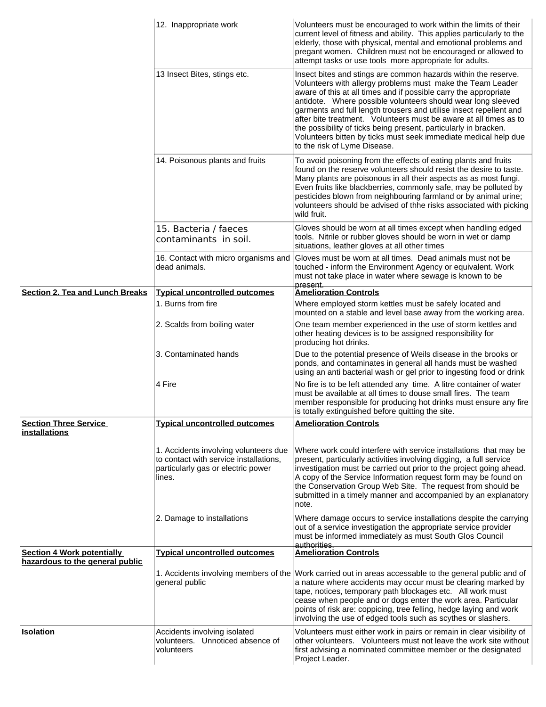|                                                      | 12. Inappropriate work                                                                                                          | Volunteers must be encouraged to work within the limits of their<br>current level of fitness and ability. This applies particularly to the<br>elderly, those with physical, mental and emotional problems and<br>pregant women. Children must not be encouraged or allowed to<br>attempt tasks or use tools more appropriate for adults.                                                                                                                                                                                                                                           |
|------------------------------------------------------|---------------------------------------------------------------------------------------------------------------------------------|------------------------------------------------------------------------------------------------------------------------------------------------------------------------------------------------------------------------------------------------------------------------------------------------------------------------------------------------------------------------------------------------------------------------------------------------------------------------------------------------------------------------------------------------------------------------------------|
|                                                      | 13 Insect Bites, stings etc.                                                                                                    | Insect bites and stings are common hazards within the reserve.<br>Volunteers with allergy problems must make the Team Leader<br>aware of this at all times and if possible carry the appropriate<br>antidote. Where possible volunteers should wear long sleeved<br>garments and full length trousers and utilise insect repellent and<br>after bite treatment. Volunteers must be aware at all times as to<br>the possibility of ticks being present, particularly in bracken.<br>Volunteers bitten by ticks must seek immediate medical help due<br>to the risk of Lyme Disease. |
|                                                      | 14. Poisonous plants and fruits                                                                                                 | To avoid poisoning from the effects of eating plants and fruits<br>found on the reserve volunteers should resist the desire to taste.<br>Many plants are poisonous in all their aspects as as most fungi.<br>Even fruits like blackberries, commonly safe, may be polluted by<br>pesticides blown from neighbouring farmland or by animal urine;<br>volunteers should be advised of thhe risks associated with picking<br>wild fruit.                                                                                                                                              |
|                                                      | 15. Bacteria / faeces<br>contaminants in soil.                                                                                  | Gloves should be worn at all times except when handling edged<br>tools. Nitrile or rubber gloves should be worn in wet or damp<br>situations, leather gloves at all other times                                                                                                                                                                                                                                                                                                                                                                                                    |
|                                                      | 16. Contact with micro organisms and<br>dead animals.                                                                           | Gloves must be worn at all times. Dead animals must not be<br>touched - inform the Environment Agency or equivalent. Work<br>must not take place in water where sewage is known to be<br>present.                                                                                                                                                                                                                                                                                                                                                                                  |
| <b>Section 2. Tea and Lunch Breaks</b>               | <b>Typical uncontrolled outcomes</b>                                                                                            | <b>Amelioration Controls</b>                                                                                                                                                                                                                                                                                                                                                                                                                                                                                                                                                       |
|                                                      | 1. Burns from fire                                                                                                              | Where employed storm kettles must be safely located and<br>mounted on a stable and level base away from the working area.                                                                                                                                                                                                                                                                                                                                                                                                                                                          |
|                                                      | 2. Scalds from boiling water                                                                                                    | One team member experienced in the use of storm kettles and<br>other heating devices is to be assigned responsibility for<br>producing hot drinks.                                                                                                                                                                                                                                                                                                                                                                                                                                 |
|                                                      | 3. Contaminated hands                                                                                                           | Due to the potential presence of Weils disease in the brooks or<br>ponds, and contaminates in general all hands must be washed<br>using an anti bacterial wash or gel prior to ingesting food or drink                                                                                                                                                                                                                                                                                                                                                                             |
|                                                      | 4 Fire                                                                                                                          | No fire is to be left attended any time. A litre container of water<br>must be available at all times to douse small fires. The team<br>member responsible for producing hot drinks must ensure any fire<br>is totally extinguished before quitting the site.                                                                                                                                                                                                                                                                                                                      |
| <b>Section Three Service</b><br><b>installations</b> | <b>Typical uncontrolled outcomes</b>                                                                                            | <b>Amelioration Controls</b>                                                                                                                                                                                                                                                                                                                                                                                                                                                                                                                                                       |
|                                                      | 1. Accidents involving volunteers due<br>to contact with service installations,<br>particularly gas or electric power<br>lines. | Where work could interfere with service installations that may be<br>present, particularly activities involving digging, a full service<br>investigation must be carried out prior to the project going ahead.<br>A copy of the Service Information request form may be found on<br>the Conservation Group Web Site. The request from should be<br>submitted in a timely manner and accompanied by an explanatory<br>note.                                                                                                                                                         |
|                                                      | 2. Damage to installations                                                                                                      | Where damage occurs to service installations despite the carrying<br>out of a service investigation the appropriate service provider<br>must be informed immediately as must South Glos Council<br>authorities.                                                                                                                                                                                                                                                                                                                                                                    |
| <b>Section 4 Work potentially</b>                    | <b>Typical uncontrolled outcomes</b>                                                                                            | <b>Amelioration Controls</b>                                                                                                                                                                                                                                                                                                                                                                                                                                                                                                                                                       |
| hazardous to the general public                      | general public                                                                                                                  | 1. Accidents involving members of the Work carried out in areas accessable to the general public and of<br>a nature where accidents may occur must be clearing marked by<br>tape, notices, temporary path blockages etc. All work must<br>cease when people and or dogs enter the work area. Particular<br>points of risk are: coppicing, tree felling, hedge laying and work<br>involving the use of edged tools such as scythes or slashers.                                                                                                                                     |
| <b>Isolation</b>                                     | Accidents involving isolated<br>volunteers. Unnoticed absence of<br>volunteers                                                  | Volunteers must either work in pairs or remain in clear visibility of<br>other volunteers. Volunteers must not leave the work site without<br>first advising a nominated committee member or the designated<br>Project Leader.                                                                                                                                                                                                                                                                                                                                                     |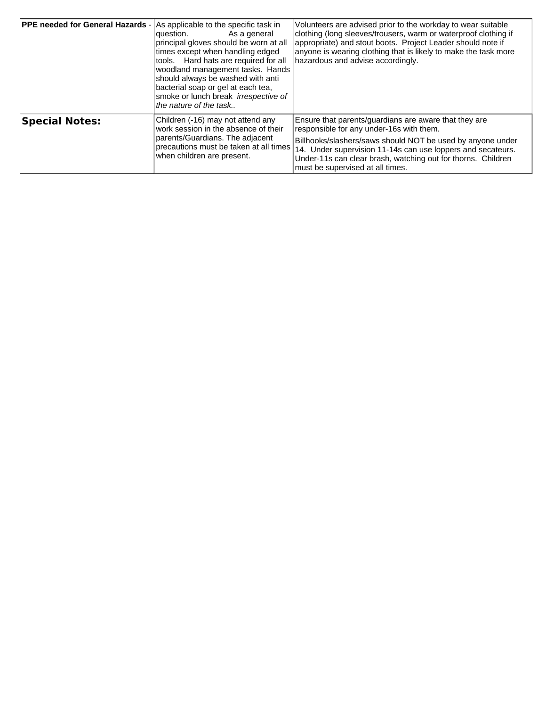| <b>PPE needed for General Hazards</b> | As applicable to the specific task in<br>As a general<br>question.<br>principal gloves should be worn at all<br>times except when handling edged<br>tools. Hard hats are required for all<br>woodland management tasks. Hands<br>should always be washed with anti<br>bacterial soap or gel at each tea,<br>smoke or lunch break <i>irrespective</i> of<br>the nature of the task | Volunteers are advised prior to the workday to wear suitable<br>clothing (long sleeves/trousers, warm or waterproof clothing if<br>appropriate) and stout boots. Project Leader should note if<br>anyone is wearing clothing that is likely to make the task more<br>hazardous and advise accordingly.                             |
|---------------------------------------|-----------------------------------------------------------------------------------------------------------------------------------------------------------------------------------------------------------------------------------------------------------------------------------------------------------------------------------------------------------------------------------|------------------------------------------------------------------------------------------------------------------------------------------------------------------------------------------------------------------------------------------------------------------------------------------------------------------------------------|
| <b>Special Notes:</b>                 | Children (-16) may not attend any<br>work session in the absence of their<br>parents/Guardians. The adjacent<br>precautions must be taken at all times<br>when children are present.                                                                                                                                                                                              | Ensure that parents/guardians are aware that they are<br>responsible for any under-16s with them.<br>Billhooks/slashers/saws should NOT be used by anyone under<br>14. Under supervision 11-14s can use loppers and secateurs.<br>Under-11s can clear brash, watching out for thorns. Children<br>must be supervised at all times. |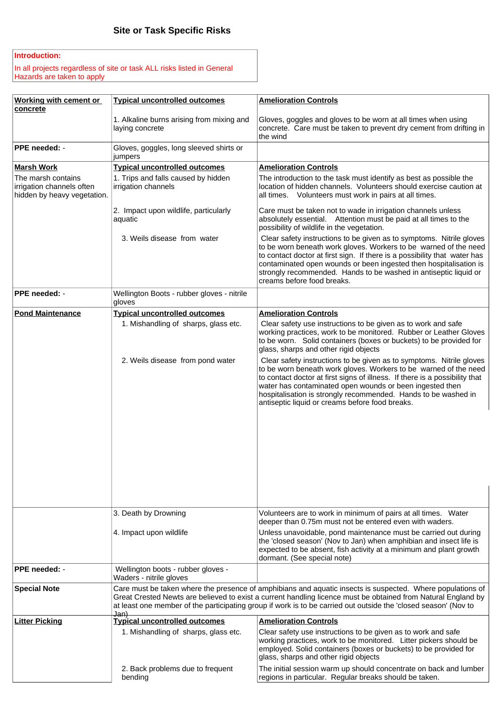#### **Introduction:**

In all projects regardless of site or task ALL risks listed in General Hazards are taken to apply

| Working with cement or<br>concrete                                             | <b>Typical uncontrolled outcomes</b>                          | <b>Amelioration Controls</b>                                                                                                                                                                                                                                                                                                                                                                             |
|--------------------------------------------------------------------------------|---------------------------------------------------------------|----------------------------------------------------------------------------------------------------------------------------------------------------------------------------------------------------------------------------------------------------------------------------------------------------------------------------------------------------------------------------------------------------------|
|                                                                                | 1. Alkaline burns arising from mixing and<br>laying concrete  | Gloves, goggles and gloves to be worn at all times when using<br>concrete. Care must be taken to prevent dry cement from drifting in<br>the wind                                                                                                                                                                                                                                                         |
| PPE needed: -                                                                  | Gloves, goggles, long sleeved shirts or<br>jumpers            |                                                                                                                                                                                                                                                                                                                                                                                                          |
| <b>Marsh Work</b>                                                              | <b>Typical uncontrolled outcomes</b>                          | <b>Amelioration Controls</b>                                                                                                                                                                                                                                                                                                                                                                             |
| The marsh contains<br>irrigation channels often<br>hidden by heavy vegetation. | 1. Trips and falls caused by hidden<br>irrigation channels    | The introduction to the task must identify as best as possible the<br>location of hidden channels. Volunteers should exercise caution at<br>all times. Volunteers must work in pairs at all times.                                                                                                                                                                                                       |
|                                                                                | 2. Impact upon wildlife, particularly<br>aquatic              | Care must be taken not to wade in irrigation channels unless<br>absolutely essential. Attention must be paid at all times to the<br>possibility of wildlife in the vegetation.                                                                                                                                                                                                                           |
|                                                                                | 3. Weils disease from water                                   | Clear safety instructions to be given as to symptoms. Nitrile gloves<br>to be worn beneath work gloves. Workers to be warned of the need<br>to contact doctor at first sign. If there is a possibility that water has<br>contaminated open wounds or been ingested then hospitalisation is<br>strongly recommended. Hands to be washed in antiseptic liquid or<br>creams before food breaks.             |
| PPE needed: -                                                                  | Wellington Boots - rubber gloves - nitrile<br>gloves          |                                                                                                                                                                                                                                                                                                                                                                                                          |
| <b>Pond Maintenance</b>                                                        | <b>Typical uncontrolled outcomes</b>                          | <b>Amelioration Controls</b>                                                                                                                                                                                                                                                                                                                                                                             |
|                                                                                | 1. Mishandling of sharps, glass etc.                          | Clear safety use instructions to be given as to work and safe<br>working practices, work to be monitored. Rubber or Leather Gloves<br>to be worn. Solid containers (boxes or buckets) to be provided for<br>glass, sharps and other rigid objects                                                                                                                                                        |
|                                                                                | 2. Weils disease from pond water                              | Clear safety instructions to be given as to symptoms. Nitrile gloves<br>to be worn beneath work gloves. Workers to be warned of the need<br>to contact doctor at first signs of illness. If there is a possibility that<br>water has contaminated open wounds or been ingested then<br>hospitalisation is strongly recommended. Hands to be washed in<br>antiseptic liquid or creams before food breaks. |
|                                                                                |                                                               |                                                                                                                                                                                                                                                                                                                                                                                                          |
|                                                                                | 3. Death by Drowning                                          | Volunteers are to work in minimum of pairs at all times. Water<br>deeper than 0.75m must not be entered even with waders.                                                                                                                                                                                                                                                                                |
|                                                                                | 4. Impact upon wildlife                                       | Unless unavoidable, pond maintenance must be carried out during<br>the 'closed season' (Nov to Jan) when amphibian and insect life is<br>expected to be absent, fish activity at a minimum and plant growth<br>dormant. (See special note)                                                                                                                                                               |
| PPE needed: -                                                                  | Wellington boots - rubber gloves -<br>Waders - nitrile gloves |                                                                                                                                                                                                                                                                                                                                                                                                          |
| <b>Special Note</b>                                                            | Jan)                                                          | Care must be taken where the presence of amphibians and aquatic insects is suspected. Where populations of<br>Great Crested Newts are believed to exist a current handling licence must be obtained from Natural England by<br>at least one member of the participating group if work is to be carried out outside the 'closed season' (Nov to                                                           |
| <b>Litter Picking</b>                                                          | <b>Typical uncontrolled outcomes</b>                          | <b>Amelioration Controls</b>                                                                                                                                                                                                                                                                                                                                                                             |
|                                                                                | 1. Mishandling of sharps, glass etc.                          | Clear safety use instructions to be given as to work and safe<br>working practices, work to be monitored. Litter pickers should be<br>employed. Solid containers (boxes or buckets) to be provided for<br>glass, sharps and other rigid objects                                                                                                                                                          |
|                                                                                | 2. Back problems due to frequent<br>bending                   | The initial session warm up should concentrate on back and lumber<br>regions in particular. Regular breaks should be taken.                                                                                                                                                                                                                                                                              |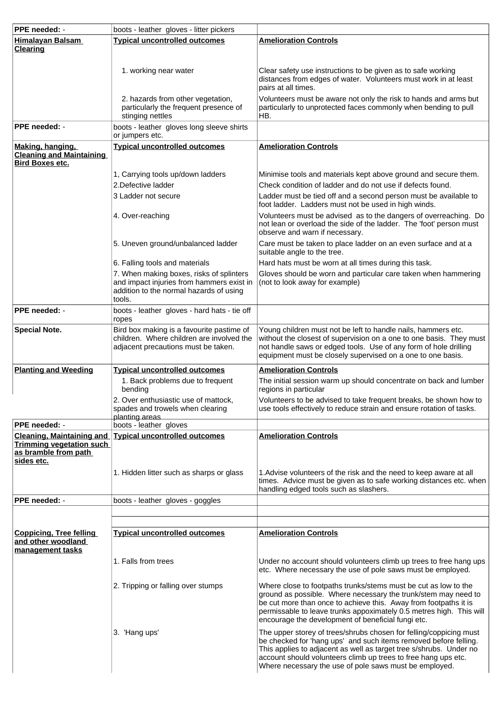| PPE needed: -<br>boots - leather gloves - litter pickers                                                                                              |                                                                                                                                                                              |                                                                                                                                                                                                                                                                                                                                          |  |
|-------------------------------------------------------------------------------------------------------------------------------------------------------|------------------------------------------------------------------------------------------------------------------------------------------------------------------------------|------------------------------------------------------------------------------------------------------------------------------------------------------------------------------------------------------------------------------------------------------------------------------------------------------------------------------------------|--|
| <b>Himalayan Balsam</b><br><b>Clearing</b>                                                                                                            | <b>Typical uncontrolled outcomes</b>                                                                                                                                         | <b>Amelioration Controls</b>                                                                                                                                                                                                                                                                                                             |  |
|                                                                                                                                                       | 1. working near water                                                                                                                                                        | Clear safety use instructions to be given as to safe working<br>distances from edges of water. Volunteers must work in at least<br>pairs at all times.                                                                                                                                                                                   |  |
|                                                                                                                                                       | 2. hazards from other vegetation,<br>particularly the frequent presence of<br>stinging nettles                                                                               | Volunteers must be aware not only the risk to hands and arms but<br>particularly to unprotected faces commonly when bending to pull<br>HB.                                                                                                                                                                                               |  |
| PPE needed: -<br>boots - leather gloves long sleeve shirts<br>or jumpers etc.                                                                         |                                                                                                                                                                              |                                                                                                                                                                                                                                                                                                                                          |  |
| Making, hanging,<br><b>Cleaning and Maintaining</b><br><b>Bird Boxes etc.</b>                                                                         | <b>Typical uncontrolled outcomes</b>                                                                                                                                         | <b>Amelioration Controls</b>                                                                                                                                                                                                                                                                                                             |  |
|                                                                                                                                                       | 1, Carrying tools up/down ladders                                                                                                                                            | Minimise tools and materials kept above ground and secure them.                                                                                                                                                                                                                                                                          |  |
|                                                                                                                                                       | 2.Defective ladder                                                                                                                                                           | Check condition of ladder and do not use if defects found.                                                                                                                                                                                                                                                                               |  |
|                                                                                                                                                       | 3 Ladder not secure                                                                                                                                                          | Ladder must be tied off and a second person must be available to<br>foot ladder. Ladders must not be used in high winds.                                                                                                                                                                                                                 |  |
|                                                                                                                                                       | 4. Over-reaching                                                                                                                                                             | Volunteers must be advised as to the dangers of overreaching. Do<br>not lean or overload the side of the ladder. The 'foot' person must<br>observe and warn if necessary.                                                                                                                                                                |  |
|                                                                                                                                                       | 5. Uneven ground/unbalanced ladder                                                                                                                                           | Care must be taken to place ladder on an even surface and at a<br>suitable angle to the tree.                                                                                                                                                                                                                                            |  |
|                                                                                                                                                       | 6. Falling tools and materials<br>7. When making boxes, risks of splinters<br>and impact injuries from hammers exist in<br>addition to the normal hazards of using<br>tools. | Hard hats must be worn at all times during this task.<br>Gloves should be worn and particular care taken when hammering<br>(not to look away for example)                                                                                                                                                                                |  |
| PPE needed: -<br>boots - leather gloves - hard hats - tie off<br>ropes                                                                                |                                                                                                                                                                              |                                                                                                                                                                                                                                                                                                                                          |  |
| Bird box making is a favourite pastime of<br><b>Special Note.</b><br>children. Where children are involved the<br>adjacent precautions must be taken. |                                                                                                                                                                              | Young children must not be left to handle nails, hammers etc.<br>without the closest of supervision on a one to one basis. They must<br>not handle saws or edged tools. Use of any form of hole drilling<br>equipment must be closely supervised on a one to one basis.                                                                  |  |
| <b>Planting and Weeding</b>                                                                                                                           | <b>Typical uncontrolled outcomes</b>                                                                                                                                         | <b>Amelioration Controls</b>                                                                                                                                                                                                                                                                                                             |  |
|                                                                                                                                                       | 1. Back problems due to frequent<br>bendina                                                                                                                                  | The initial session warm up should concentrate on back and lumber<br>regions in particular                                                                                                                                                                                                                                               |  |
| PPE needed: -                                                                                                                                         | 2. Over enthusiastic use of mattock,<br>spades and trowels when clearing<br>planting areas<br>boots - leather gloves                                                         | Volunteers to be advised to take frequent breaks, be shown how to<br>use tools effectively to reduce strain and ensure rotation of tasks.                                                                                                                                                                                                |  |
|                                                                                                                                                       | Cleaning, Maintaining and Typical uncontrolled outcomes                                                                                                                      | <b>Amelioration Controls</b>                                                                                                                                                                                                                                                                                                             |  |
| <b>Trimming vegetation such</b><br>as bramble from path<br>sides etc.                                                                                 |                                                                                                                                                                              |                                                                                                                                                                                                                                                                                                                                          |  |
|                                                                                                                                                       | 1. Hidden litter such as sharps or glass                                                                                                                                     | 1. Advise volunteers of the risk and the need to keep aware at all<br>times. Advice must be given as to safe working distances etc. when<br>handling edged tools such as slashers.                                                                                                                                                       |  |
| PPE needed: -                                                                                                                                         | boots - leather gloves - goggles                                                                                                                                             |                                                                                                                                                                                                                                                                                                                                          |  |
|                                                                                                                                                       |                                                                                                                                                                              |                                                                                                                                                                                                                                                                                                                                          |  |
| Coppicing, Tree felling<br>and other woodland<br>management tasks                                                                                     | <b>Typical uncontrolled outcomes</b>                                                                                                                                         | <b>Amelioration Controls</b>                                                                                                                                                                                                                                                                                                             |  |
|                                                                                                                                                       | 1. Falls from trees                                                                                                                                                          | Under no account should volunteers climb up trees to free hang ups<br>etc. Where necessary the use of pole saws must be employed.                                                                                                                                                                                                        |  |
|                                                                                                                                                       | 2. Tripping or falling over stumps                                                                                                                                           | Where close to footpaths trunks/stems must be cut as low to the<br>ground as possible. Where necessary the trunk/stem may need to<br>be cut more than once to achieve this. Away from footpaths it is<br>permissable to leave trunks appoximately 0.5 metres high. This will<br>encourage the development of beneficial fungi etc.       |  |
|                                                                                                                                                       | 3. 'Hang ups'                                                                                                                                                                | The upper storey of trees/shrubs chosen for felling/coppicing must<br>be checked for 'hang ups' and such items removed before felling.<br>This applies to adjacent as well as target tree s/shrubs. Under no<br>account should volunteers climb up trees to free hang ups etc.<br>Where necessary the use of pole saws must be employed. |  |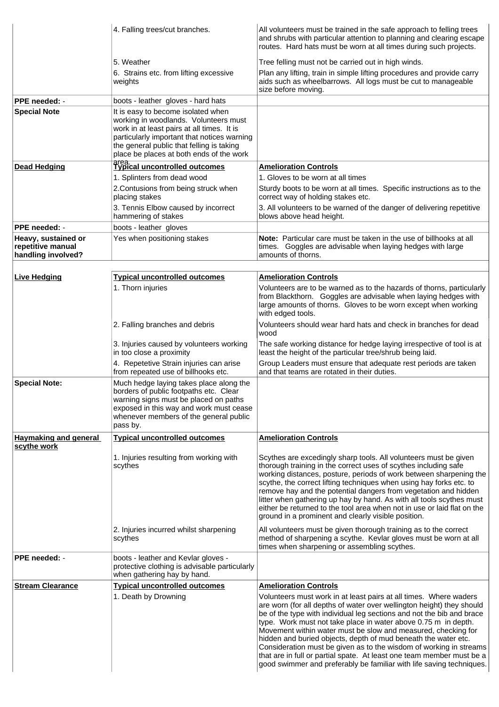|                                                                | 4. Falling trees/cut branches.                                                                                                                                                                                                                                    | All volunteers must be trained in the safe approach to felling trees<br>and shrubs with particular attention to planning and clearing escape<br>routes. Hard hats must be worn at all times during such projects.                                                                                                                                                                                                                                                                                                                                                                                                                               |
|----------------------------------------------------------------|-------------------------------------------------------------------------------------------------------------------------------------------------------------------------------------------------------------------------------------------------------------------|-------------------------------------------------------------------------------------------------------------------------------------------------------------------------------------------------------------------------------------------------------------------------------------------------------------------------------------------------------------------------------------------------------------------------------------------------------------------------------------------------------------------------------------------------------------------------------------------------------------------------------------------------|
|                                                                | 5. Weather<br>6. Strains etc. from lifting excessive<br>weights                                                                                                                                                                                                   | Tree felling must not be carried out in high winds.<br>Plan any lifting, train in simple lifting procedures and provide carry<br>aids such as wheelbarrows. All logs must be cut to manageable<br>size before moving.                                                                                                                                                                                                                                                                                                                                                                                                                           |
| <b>PPE needed: -</b>                                           | boots - leather gloves - hard hats                                                                                                                                                                                                                                |                                                                                                                                                                                                                                                                                                                                                                                                                                                                                                                                                                                                                                                 |
| <b>Special Note</b>                                            | It is easy to become isolated when<br>working in woodlands. Volunteers must<br>work in at least pairs at all times. It is<br>particularly important that notices warning<br>the general public that felling is taking<br>place be places at both ends of the work |                                                                                                                                                                                                                                                                                                                                                                                                                                                                                                                                                                                                                                                 |
| <b>Dead Hedging</b>                                            | area.<br>Typical uncontrolled outcomes                                                                                                                                                                                                                            | <b>Amelioration Controls</b>                                                                                                                                                                                                                                                                                                                                                                                                                                                                                                                                                                                                                    |
|                                                                | 1. Splinters from dead wood<br>2. Contusions from being struck when<br>placing stakes                                                                                                                                                                             | 1. Gloves to be worn at all times<br>Sturdy boots to be worn at all times. Specific instructions as to the<br>correct way of holding stakes etc.                                                                                                                                                                                                                                                                                                                                                                                                                                                                                                |
|                                                                | 3. Tennis Elbow caused by incorrect<br>hammering of stakes                                                                                                                                                                                                        | 3. All volunteers to be warned of the danger of delivering repetitive<br>blows above head height.                                                                                                                                                                                                                                                                                                                                                                                                                                                                                                                                               |
| PPE needed: -                                                  | boots - leather gloves                                                                                                                                                                                                                                            |                                                                                                                                                                                                                                                                                                                                                                                                                                                                                                                                                                                                                                                 |
| Heavy, sustained or<br>repetitive manual<br>handling involved? | Yes when positioning stakes                                                                                                                                                                                                                                       | Note: Particular care must be taken in the use of billhooks at all<br>times. Goggles are advisable when laying hedges with large<br>amounts of thorns.                                                                                                                                                                                                                                                                                                                                                                                                                                                                                          |
|                                                                |                                                                                                                                                                                                                                                                   |                                                                                                                                                                                                                                                                                                                                                                                                                                                                                                                                                                                                                                                 |
| <b>Live Hedging</b>                                            | <b>Typical uncontrolled outcomes</b>                                                                                                                                                                                                                              | <b>Amelioration Controls</b>                                                                                                                                                                                                                                                                                                                                                                                                                                                                                                                                                                                                                    |
|                                                                | 1. Thorn injuries                                                                                                                                                                                                                                                 | Volunteers are to be warned as to the hazards of thorns, particularly<br>from Blackthorn. Goggles are advisable when laying hedges with<br>large amounts of thorns. Gloves to be worn except when working<br>with edged tools.                                                                                                                                                                                                                                                                                                                                                                                                                  |
|                                                                | 2. Falling branches and debris                                                                                                                                                                                                                                    | Volunteers should wear hard hats and check in branches for dead<br>wood                                                                                                                                                                                                                                                                                                                                                                                                                                                                                                                                                                         |
|                                                                | 3. Injuries caused by volunteers working<br>in too close a proximity                                                                                                                                                                                              | The safe working distance for hedge laying irrespective of tool is at<br>least the height of the particular tree/shrub being laid.                                                                                                                                                                                                                                                                                                                                                                                                                                                                                                              |
|                                                                | 4. Repetetive Strain injuries can arise<br>from repeated use of billhooks etc.                                                                                                                                                                                    | Group Leaders must ensure that adequate rest periods are taken<br>and that teams are rotated in their duties.                                                                                                                                                                                                                                                                                                                                                                                                                                                                                                                                   |
| <b>Special Note:</b>                                           | Much hedge laying takes place along the<br>borders of public footpaths etc. Clear<br>warning signs must be placed on paths<br>exposed in this way and work must cease<br>whenever members of the general public<br>pass by.                                       |                                                                                                                                                                                                                                                                                                                                                                                                                                                                                                                                                                                                                                                 |
| <b>Haymaking and general</b><br>scythe work                    | <b>Typical uncontrolled outcomes</b>                                                                                                                                                                                                                              | <b>Amelioration Controls</b>                                                                                                                                                                                                                                                                                                                                                                                                                                                                                                                                                                                                                    |
|                                                                | 1. Injuries resulting from working with<br>scythes                                                                                                                                                                                                                | Scythes are excedingly sharp tools. All volunteers must be given<br>thorough training in the correct uses of scythes including safe<br>working distances, posture, periods of work between sharpening the<br>scythe, the correct lifting techniques when using hay forks etc. to<br>remove hay and the potential dangers from vegetation and hidden<br>litter when gathering up hay by hand. As with all tools scythes must<br>either be returned to the tool area when not in use or laid flat on the<br>ground in a prominent and clearly visible position.                                                                                   |
|                                                                | 2. Injuries incurred whilst sharpening<br>scythes                                                                                                                                                                                                                 | All volunteers must be given thorough training as to the correct<br>method of sharpening a scythe. Kevlar gloves must be worn at all<br>times when sharpening or assembling scythes.                                                                                                                                                                                                                                                                                                                                                                                                                                                            |
| PPE needed: -                                                  | boots - leather and Kevlar gloves -<br>protective clothing is advisable particularly<br>when gathering hay by hand.                                                                                                                                               |                                                                                                                                                                                                                                                                                                                                                                                                                                                                                                                                                                                                                                                 |
| <b>Stream Clearance</b>                                        | <b>Typical uncontrolled outcomes</b>                                                                                                                                                                                                                              | <b>Amelioration Controls</b>                                                                                                                                                                                                                                                                                                                                                                                                                                                                                                                                                                                                                    |
|                                                                | 1. Death by Drowning                                                                                                                                                                                                                                              | Volunteers must work in at least pairs at all times. Where waders<br>are worn (for all depths of water over wellington height) they should<br>be of the type with individual leg sections and not the bib and brace<br>type. Work must not take place in water above 0.75 m in depth.<br>Movement within water must be slow and measured, checking for<br>hidden and buried objects, depth of mud beneath the water etc.<br>Consideration must be given as to the wisdom of working in streams<br>that are in full or partial spate. At least one team member must be a<br>good swimmer and preferably be familiar with life saving techniques. |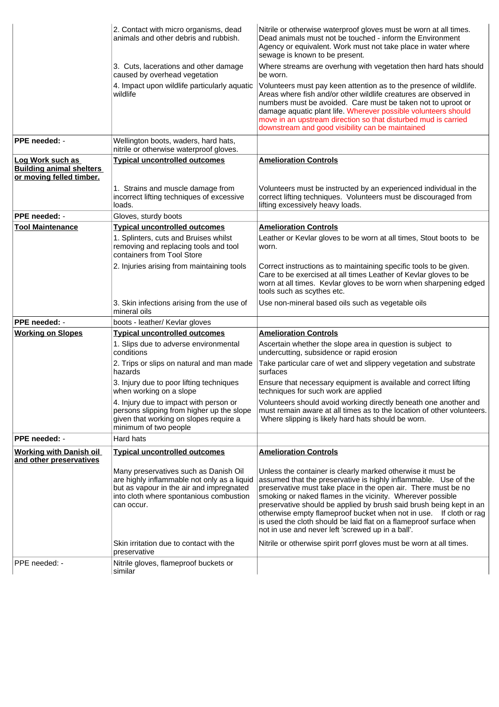|                                                                                 | 2. Contact with micro organisms, dead<br>animals and other debris and rubbish.                                                                                                            | Nitrile or otherwise waterproof gloves must be worn at all times.<br>Dead animals must not be touched - inform the Environment<br>Agency or equivalent. Work must not take place in water where<br>sewage is known to be present.                                                                                                                                                                                                                                                                                                      |
|---------------------------------------------------------------------------------|-------------------------------------------------------------------------------------------------------------------------------------------------------------------------------------------|----------------------------------------------------------------------------------------------------------------------------------------------------------------------------------------------------------------------------------------------------------------------------------------------------------------------------------------------------------------------------------------------------------------------------------------------------------------------------------------------------------------------------------------|
|                                                                                 | 3. Cuts, lacerations and other damage<br>caused by overhead vegetation                                                                                                                    | Where streams are overhung with vegetation then hard hats should<br>be worn.                                                                                                                                                                                                                                                                                                                                                                                                                                                           |
|                                                                                 | 4. Impact upon wildlife particularly aquatic<br>wildlife                                                                                                                                  | Volunteers must pay keen attention as to the presence of wildlife.<br>Areas where fish and/or other wildlife creatures are observed in<br>numbers must be avoided. Care must be taken not to uproot or<br>damage aquatic plant life. Wherever possible volunteers should<br>move in an upstream direction so that disturbed mud is carried<br>downstream and good visibility can be maintained                                                                                                                                         |
| PPE needed: -                                                                   | Wellington boots, waders, hard hats,<br>nitrile or otherwise waterproof gloves.                                                                                                           |                                                                                                                                                                                                                                                                                                                                                                                                                                                                                                                                        |
| Log Work such as<br><b>Building animal shelters</b><br>or moving felled timber. | <b>Typical uncontrolled outcomes</b>                                                                                                                                                      | <b>Amelioration Controls</b>                                                                                                                                                                                                                                                                                                                                                                                                                                                                                                           |
|                                                                                 | 1. Strains and muscle damage from<br>incorrect lifting techniques of excessive<br>loads.                                                                                                  | Volunteers must be instructed by an experienced individual in the<br>correct lifting techniques. Volunteers must be discouraged from<br>lifting excessively heavy loads.                                                                                                                                                                                                                                                                                                                                                               |
| PPE needed: -                                                                   | Gloves, sturdy boots                                                                                                                                                                      |                                                                                                                                                                                                                                                                                                                                                                                                                                                                                                                                        |
| <b>Tool Maintenance</b>                                                         | <b>Typical uncontrolled outcomes</b>                                                                                                                                                      | <b>Amelioration Controls</b>                                                                                                                                                                                                                                                                                                                                                                                                                                                                                                           |
|                                                                                 | 1. Splinters, cuts and Bruises whilst<br>removing and replacing tools and tool<br>containers from Tool Store                                                                              | Leather or Kevlar gloves to be worn at all times, Stout boots to be<br>worn.                                                                                                                                                                                                                                                                                                                                                                                                                                                           |
|                                                                                 | 2. Injuries arising from maintaining tools                                                                                                                                                | Correct instructions as to maintaining specific tools to be given.<br>Care to be exercised at all times Leather of Kevlar gloves to be<br>worn at all times. Kevlar gloves to be worn when sharpening edged<br>tools such as scythes etc.                                                                                                                                                                                                                                                                                              |
|                                                                                 | 3. Skin infections arising from the use of<br>mineral oils                                                                                                                                | Use non-mineral based oils such as vegetable oils                                                                                                                                                                                                                                                                                                                                                                                                                                                                                      |
| PPE needed: -                                                                   | boots - leather/ Kevlar gloves                                                                                                                                                            |                                                                                                                                                                                                                                                                                                                                                                                                                                                                                                                                        |
| <b>Working on Slopes</b>                                                        | <b>Typical uncontrolled outcomes</b>                                                                                                                                                      | <b>Amelioration Controls</b>                                                                                                                                                                                                                                                                                                                                                                                                                                                                                                           |
|                                                                                 | 1. Slips due to adverse environmental<br>conditions                                                                                                                                       | Ascertain whether the slope area in question is subject to<br>undercutting, subsidence or rapid erosion                                                                                                                                                                                                                                                                                                                                                                                                                                |
|                                                                                 | 2. Trips or slips on natural and man made<br>hazards                                                                                                                                      | Take particular care of wet and slippery vegetation and substrate<br>surfaces                                                                                                                                                                                                                                                                                                                                                                                                                                                          |
|                                                                                 | 3. Injury due to poor lifting techniques<br>when working on a slope                                                                                                                       | Ensure that necessary equipment is available and correct lifting<br>techniques for such work are applied                                                                                                                                                                                                                                                                                                                                                                                                                               |
|                                                                                 | 4. Injury due to impact with person or<br>persons slipping from higher up the slope<br>given that working on slopes require a<br>minimum of two people                                    | Volunteers should avoid working directly beneath one another and<br>must remain aware at all times as to the location of other volunteers.<br>Where slipping is likely hard hats should be worn.                                                                                                                                                                                                                                                                                                                                       |
| PPE needed: -                                                                   | <b>Hard hats</b>                                                                                                                                                                          |                                                                                                                                                                                                                                                                                                                                                                                                                                                                                                                                        |
| <b>Working with Danish oil</b>                                                  | <b>Typical uncontrolled outcomes</b>                                                                                                                                                      | <b>Amelioration Controls</b>                                                                                                                                                                                                                                                                                                                                                                                                                                                                                                           |
| and other preservatives                                                         | Many preservatives such as Danish Oil<br>are highly inflammable not only as a liquid<br>but as vapour in the air and impregnated<br>into cloth where spontanious combustion<br>can occur. | Unless the container is clearly marked otherwise it must be<br>assumed that the preservative is highly inflammable. Use of the<br>preservative must take place in the open air. There must be no<br>smoking or naked flames in the vicinity. Wherever possible<br>preservative should be applied by brush said brush being kept in an<br>otherwise empty flameproof bucket when not in use. If cloth or rag<br>is used the cloth should be laid flat on a flameproof surface when<br>not in use and never left 'screwed up in a ball'. |
|                                                                                 | Skin irritation due to contact with the<br>preservative                                                                                                                                   | Nitrile or otherwise spirit porrf gloves must be worn at all times.                                                                                                                                                                                                                                                                                                                                                                                                                                                                    |
| PPE needed: -                                                                   | Nitrile gloves, flameproof buckets or<br>similar                                                                                                                                          |                                                                                                                                                                                                                                                                                                                                                                                                                                                                                                                                        |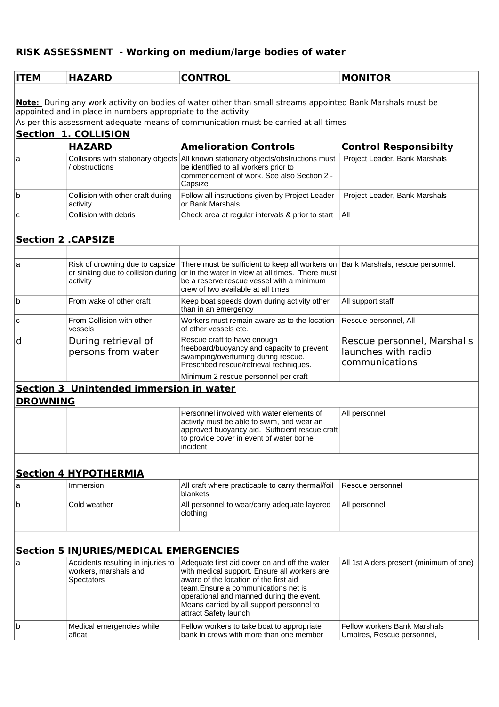# **RISK ASSESSMENT - Working on medium/large bodies of water**

| <b>ITEM</b>                                                       | <b>HAZARD</b>                                                                     | <b>CONTROL</b>                                                                                                                                                                                                                                                                                     | <b>MONITOR</b>                                                       |  |  |
|-------------------------------------------------------------------|-----------------------------------------------------------------------------------|----------------------------------------------------------------------------------------------------------------------------------------------------------------------------------------------------------------------------------------------------------------------------------------------------|----------------------------------------------------------------------|--|--|
|                                                                   |                                                                                   |                                                                                                                                                                                                                                                                                                    |                                                                      |  |  |
|                                                                   | appointed and in place in numbers appropriate to the activity.                    | Note: During any work activity on bodies of water other than small streams appointed Bank Marshals must be                                                                                                                                                                                         |                                                                      |  |  |
|                                                                   |                                                                                   | As per this assessment adequate means of communication must be carried at all times                                                                                                                                                                                                                |                                                                      |  |  |
|                                                                   | <b>Section 1. COLLISION</b>                                                       |                                                                                                                                                                                                                                                                                                    |                                                                      |  |  |
| a                                                                 | <b>HAZARD</b>                                                                     | <b>Amelioration Controls</b><br>Collisions with stationary objects All known stationary objects/obstructions must                                                                                                                                                                                  | <b>Control Responsibilty</b><br>Project Leader, Bank Marshals        |  |  |
|                                                                   | / obstructions                                                                    | be identified to all workers prior to<br>commencement of work. See also Section 2 -<br>Capsize                                                                                                                                                                                                     |                                                                      |  |  |
| b                                                                 | Collision with other craft during<br>activity                                     | Follow all instructions given by Project Leader<br>or Bank Marshals                                                                                                                                                                                                                                | Project Leader, Bank Marshals                                        |  |  |
| C                                                                 | Collision with debris                                                             | Check area at regular intervals & prior to start                                                                                                                                                                                                                                                   | All                                                                  |  |  |
|                                                                   |                                                                                   |                                                                                                                                                                                                                                                                                                    |                                                                      |  |  |
|                                                                   | <b>Section 2 .CAPSIZE</b>                                                         |                                                                                                                                                                                                                                                                                                    |                                                                      |  |  |
| a                                                                 | Risk of drowning due to capsize<br>or sinking due to collision during<br>activity | There must be sufficient to keep all workers on Bank Marshals, rescue personnel.<br>or in the water in view at all times. There must<br>be a reserve rescue vessel with a minimum<br>crew of two available at all times                                                                            |                                                                      |  |  |
| b                                                                 | From wake of other craft                                                          | Keep boat speeds down during activity other<br>than in an emergency                                                                                                                                                                                                                                | All support staff                                                    |  |  |
| C                                                                 | From Collision with other<br>vessels                                              | Workers must remain aware as to the location<br>of other vessels etc.                                                                                                                                                                                                                              | Rescue personnel, All                                                |  |  |
| d                                                                 | During retrieval of<br>persons from water                                         | Rescue craft to have enough<br>freeboard/buoyancy and capacity to prevent<br>swamping/overturning during rescue.<br>Prescribed rescue/retrieval techniques.                                                                                                                                        | Rescue personnel, Marshalls<br>launches with radio<br>communications |  |  |
|                                                                   |                                                                                   | Minimum 2 rescue personnel per craft                                                                                                                                                                                                                                                               |                                                                      |  |  |
| <b>Section 3 Unintended immersion in water</b><br><b>DROWNING</b> |                                                                                   |                                                                                                                                                                                                                                                                                                    |                                                                      |  |  |
|                                                                   |                                                                                   | Personnel involved with water elements of<br>activity must be able to swim, and wear an<br>approved buoyancy aid. Sufficient rescue craft<br>to provide cover in event of water borne<br>incident                                                                                                  | All personnel                                                        |  |  |
|                                                                   | <b>Section 4 HYPOTHERMIA</b>                                                      |                                                                                                                                                                                                                                                                                                    |                                                                      |  |  |
| a                                                                 | Immersion                                                                         | All craft where practicable to carry thermal/foil<br>blankets                                                                                                                                                                                                                                      | Rescue personnel                                                     |  |  |
| b                                                                 | Cold weather                                                                      | All personnel to wear/carry adequate layered<br>clothing                                                                                                                                                                                                                                           | All personnel                                                        |  |  |
|                                                                   |                                                                                   |                                                                                                                                                                                                                                                                                                    |                                                                      |  |  |
|                                                                   | <b>Section 5 INJURIES/MEDICAL EMERGENCIES</b>                                     |                                                                                                                                                                                                                                                                                                    |                                                                      |  |  |
| a                                                                 | Accidents resulting in injuries to<br>workers, marshals and<br><b>Spectators</b>  | Adequate first aid cover on and off the water,<br>with medical support. Ensure all workers are<br>aware of the location of the first aid<br>team. Ensure a communications net is<br>operational and manned during the event.<br>Means carried by all support personnel to<br>attract Safety launch | All 1st Aiders present (minimum of one)                              |  |  |
| b                                                                 | Medical emergencies while<br>afloat                                               | Fellow workers to take boat to appropriate<br>bank in crews with more than one member                                                                                                                                                                                                              | <b>Fellow workers Bank Marshals</b><br>Umpires, Rescue personnel,    |  |  |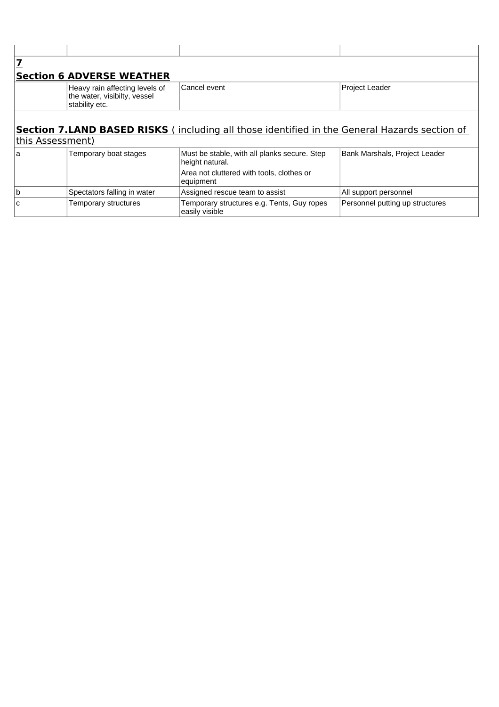| <b>Section 6 ADVERSE WEATHER</b>                                                                                          |  |  |  |  |  |
|---------------------------------------------------------------------------------------------------------------------------|--|--|--|--|--|
| Cancel event<br><b>Project Leader</b><br>Heavy rain affecting levels of<br>the water, visibilty, vessel<br>stability etc. |  |  |  |  |  |
| <b>Section 7.LAND BASED RISKS</b> (including all those identified in the General Hazards section of<br>this Assessment)   |  |  |  |  |  |

### a Temporary boat stages Must be stable, with all planks secure. Step Bank Marshals, Project Leader b Spectators falling in water Assigned rescue team to assist All support personnel C Temporary structures Temporary structures e.g. Tents, Guy ropes Personnel putting up structures height natural. Area not cluttered with tools, clothes or equipment easily visible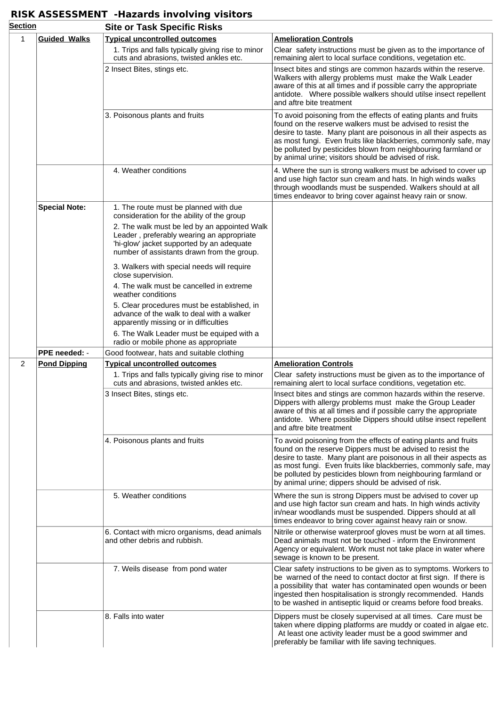## **RISK ASSESSMENT -Hazards involving visitors**

| <b>Section</b> |                      | <b>Site or Task Specific Risks</b>                                                                                                                                                   |                                                                                                                                                                                                                                                                                                                                                                                                 |  |  |
|----------------|----------------------|--------------------------------------------------------------------------------------------------------------------------------------------------------------------------------------|-------------------------------------------------------------------------------------------------------------------------------------------------------------------------------------------------------------------------------------------------------------------------------------------------------------------------------------------------------------------------------------------------|--|--|
| 1              | <b>Guided Walks</b>  | <b>Typical uncontrolled outcomes</b>                                                                                                                                                 | <b>Amelioration Controls</b>                                                                                                                                                                                                                                                                                                                                                                    |  |  |
|                |                      | 1. Trips and falls typically giving rise to minor<br>cuts and abrasions, twisted ankles etc.                                                                                         | Clear safety instructions must be given as to the importance of<br>remaining alert to local surface conditions, vegetation etc.                                                                                                                                                                                                                                                                 |  |  |
|                |                      | 2 Insect Bites, stings etc.                                                                                                                                                          | Insect bites and stings are common hazards within the reserve.<br>Walkers with allergy problems must make the Walk Leader<br>aware of this at all times and if possible carry the appropriate<br>antidote. Where possible walkers should utilse insect repellent<br>and aftre bite treatment                                                                                                    |  |  |
|                |                      | 3. Poisonous plants and fruits                                                                                                                                                       | To avoid poisoning from the effects of eating plants and fruits<br>found on the reserve walkers must be advised to resist the<br>desire to taste. Many plant are poisonous in all their aspects as<br>as most fungi. Even fruits like blackberries, commonly safe, may<br>be polluted by pesticides blown from neighbouring farmland or<br>by animal urine; visitors should be advised of risk. |  |  |
|                |                      | 4. Weather conditions                                                                                                                                                                | 4. Where the sun is strong walkers must be advised to cover up<br>and use high factor sun cream and hats. In high winds walks<br>through woodlands must be suspended. Walkers should at all<br>times endeavor to bring cover against heavy rain or snow.                                                                                                                                        |  |  |
|                | <b>Special Note:</b> | 1. The route must be planned with due<br>consideration for the ability of the group                                                                                                  |                                                                                                                                                                                                                                                                                                                                                                                                 |  |  |
|                |                      | 2. The walk must be led by an appointed Walk<br>Leader, preferably wearing an appropriate<br>'hi-glow' jacket supported by an adequate<br>number of assistants drawn from the group. |                                                                                                                                                                                                                                                                                                                                                                                                 |  |  |
|                |                      | 3. Walkers with special needs will require<br>close supervision.                                                                                                                     |                                                                                                                                                                                                                                                                                                                                                                                                 |  |  |
|                |                      | 4. The walk must be cancelled in extreme<br>weather conditions                                                                                                                       |                                                                                                                                                                                                                                                                                                                                                                                                 |  |  |
|                |                      | 5. Clear procedures must be established, in<br>advance of the walk to deal with a walker<br>apparently missing or in difficulties                                                    |                                                                                                                                                                                                                                                                                                                                                                                                 |  |  |
|                |                      | 6. The Walk Leader must be equiped with a<br>radio or mobile phone as appropriate                                                                                                    |                                                                                                                                                                                                                                                                                                                                                                                                 |  |  |
|                | PPE needed: -        | Good footwear, hats and suitable clothing                                                                                                                                            |                                                                                                                                                                                                                                                                                                                                                                                                 |  |  |
| $\overline{2}$ | <b>Pond Dipping</b>  | <b>Typical uncontrolled outcomes</b>                                                                                                                                                 | <b>Amelioration Controls</b>                                                                                                                                                                                                                                                                                                                                                                    |  |  |
|                |                      | 1. Trips and falls typically giving rise to minor<br>cuts and abrasions, twisted ankles etc.                                                                                         | Clear safety instructions must be given as to the importance of<br>remaining alert to local surface conditions, vegetation etc.                                                                                                                                                                                                                                                                 |  |  |
|                |                      | 3 Insect Bites, stings etc.                                                                                                                                                          | Insect bites and stings are common hazards within the reserve.<br>Dippers with allergy problems must make the Group Leader<br>aware of this at all times and if possible carry the appropriate<br>antidote. Where possible Dippers should utilse insect repellent<br>and aftre bite treatment                                                                                                   |  |  |
|                |                      | 4. Poisonous plants and fruits                                                                                                                                                       | To avoid poisoning from the effects of eating plants and fruits<br>found on the reserve Dippers must be advised to resist the<br>desire to taste. Many plant are poisonous in all their aspects as<br>as most fungi. Even fruits like blackberries, commonly safe, may<br>be polluted by pesticides blown from neighbouring farmland or<br>by animal urine; dippers should be advised of risk.  |  |  |
|                |                      | 5. Weather conditions                                                                                                                                                                | Where the sun is strong Dippers must be advised to cover up<br>and use high factor sun cream and hats. In high winds activity<br>in/near woodlands must be suspended. Dippers should at all<br>times endeavor to bring cover against heavy rain or snow.                                                                                                                                        |  |  |
|                |                      | 6. Contact with micro organisms, dead animals<br>and other debris and rubbish.                                                                                                       | Nitrile or otherwise waterproof gloves must be worn at all times.<br>Dead animals must not be touched - inform the Environment<br>Agency or equivalent. Work must not take place in water where<br>sewage is known to be present.                                                                                                                                                               |  |  |
|                |                      | 7. Weils disease from pond water                                                                                                                                                     | Clear safety instructions to be given as to symptoms. Workers to<br>be warned of the need to contact doctor at first sign. If there is<br>a possibility that water has contaminated open wounds or been<br>ingested then hospitalisation is strongly recommended. Hands<br>to be washed in antiseptic liquid or creams before food breaks.                                                      |  |  |
|                |                      | 8. Falls into water                                                                                                                                                                  | Dippers must be closely supervised at all times. Care must be<br>taken where dipping platforms are muddy or coated in algae etc.<br>At least one activity leader must be a good swimmer and<br>preferably be familiar with life saving techniques.                                                                                                                                              |  |  |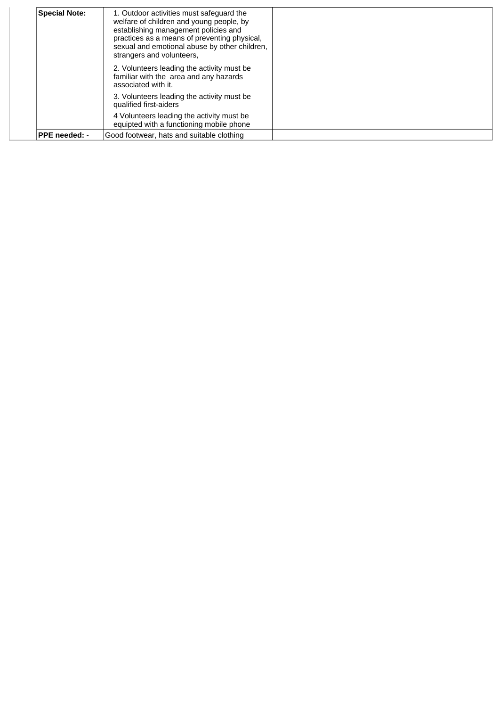| <b>Special Note:</b> | 1. Outdoor activities must safeguard the<br>welfare of children and young people, by<br>establishing management policies and<br>practices as a means of preventing physical,<br>sexual and emotional abuse by other children,<br>strangers and volunteers. |  |
|----------------------|------------------------------------------------------------------------------------------------------------------------------------------------------------------------------------------------------------------------------------------------------------|--|
|                      | 2. Volunteers leading the activity must be.<br>familiar with the area and any hazards<br>associated with it.                                                                                                                                               |  |
|                      | 3. Volunteers leading the activity must be.<br>qualified first-aiders                                                                                                                                                                                      |  |
|                      | 4 Volunteers leading the activity must be<br>equipted with a functioning mobile phone                                                                                                                                                                      |  |
| PPE needed: -        | Good footwear, hats and suitable clothing                                                                                                                                                                                                                  |  |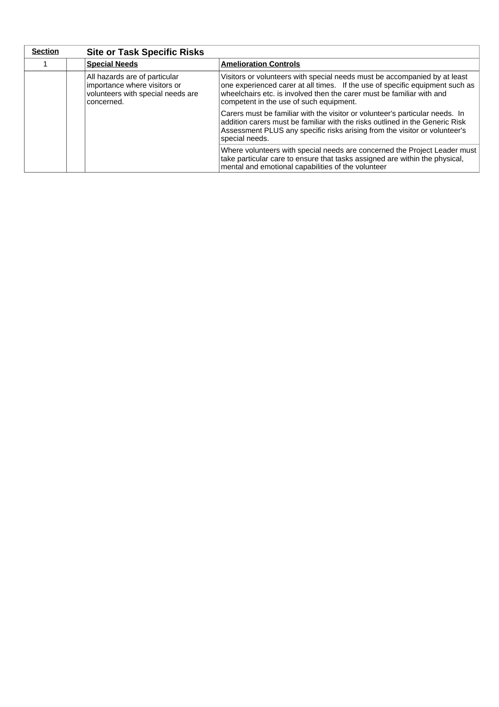| <b>Section</b> | <b>Site or Task Specific Risks</b>                                                                               |                                                                                                                                                                                                                                                                               |  |
|----------------|------------------------------------------------------------------------------------------------------------------|-------------------------------------------------------------------------------------------------------------------------------------------------------------------------------------------------------------------------------------------------------------------------------|--|
|                | <b>Special Needs</b>                                                                                             | <b>Amelioration Controls</b>                                                                                                                                                                                                                                                  |  |
|                | All hazards are of particular<br>importance where visitors or<br>volunteers with special needs are<br>concerned. | Visitors or volunteers with special needs must be accompanied by at least<br>one experienced carer at all times. If the use of specific equipment such as<br>wheelchairs etc. is involved then the carer must be familiar with and<br>competent in the use of such equipment. |  |
|                |                                                                                                                  | Carers must be familiar with the visitor or volunteer's particular needs. In<br>addition carers must be familiar with the risks outlined in the Generic Risk<br>Assessment PLUS any specific risks arising from the visitor or volunteer's<br>special needs.                  |  |
|                |                                                                                                                  | Where volunteers with special needs are concerned the Project Leader must<br>take particular care to ensure that tasks assigned are within the physical,<br>mental and emotional capabilities of the volunteer                                                                |  |